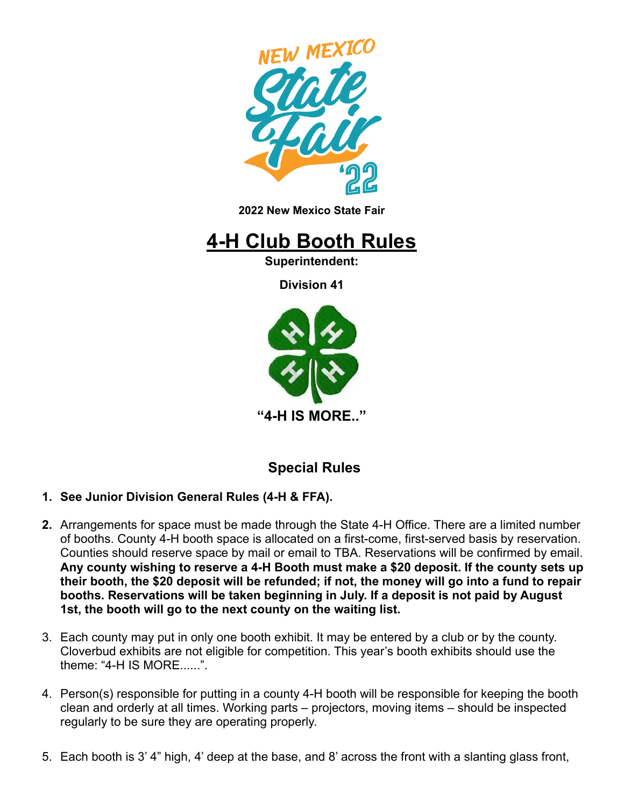

**2022 New Mexico State Fair**

# **4-H Club Booth Rules**

**Superintendent:**

**Division 41**



## **Special Rules**

- **1. See Junior Division General Rules (4-H & FFA).**
- **2.** Arrangements for space must be made through the State 4-H Office. There are a limited number of booths. County 4-H booth space is allocated on a first-come, first-served basis by reservation. Counties should reserve space by mail or email to TBA. Reservations will be confirmed by email. **Any county wishing to reserve a 4-H Booth must make a \$20 deposit. If the county sets up their booth, the \$20 deposit will be refunded; if not, the money will go into a fund to repair booths. Reservations will be taken beginning in July. If a deposit is not paid by August 1st, the booth will go to the next county on the waiting list.**
- 3. Each county may put in only one booth exhibit. It may be entered by a club or by the county. Cloverbud exhibits are not eligible for competition. This year's booth exhibits should use the theme: " $4-H$  IS MORF......"
- 4. Person(s) responsible for putting in a county 4-H booth will be responsible for keeping the booth clean and orderly at all times. Working parts – projectors, moving items – should be inspected regularly to be sure they are operating properly.
- 5. Each booth is 3' 4" high, 4' deep at the base, and 8' across the front with a slanting glass front,